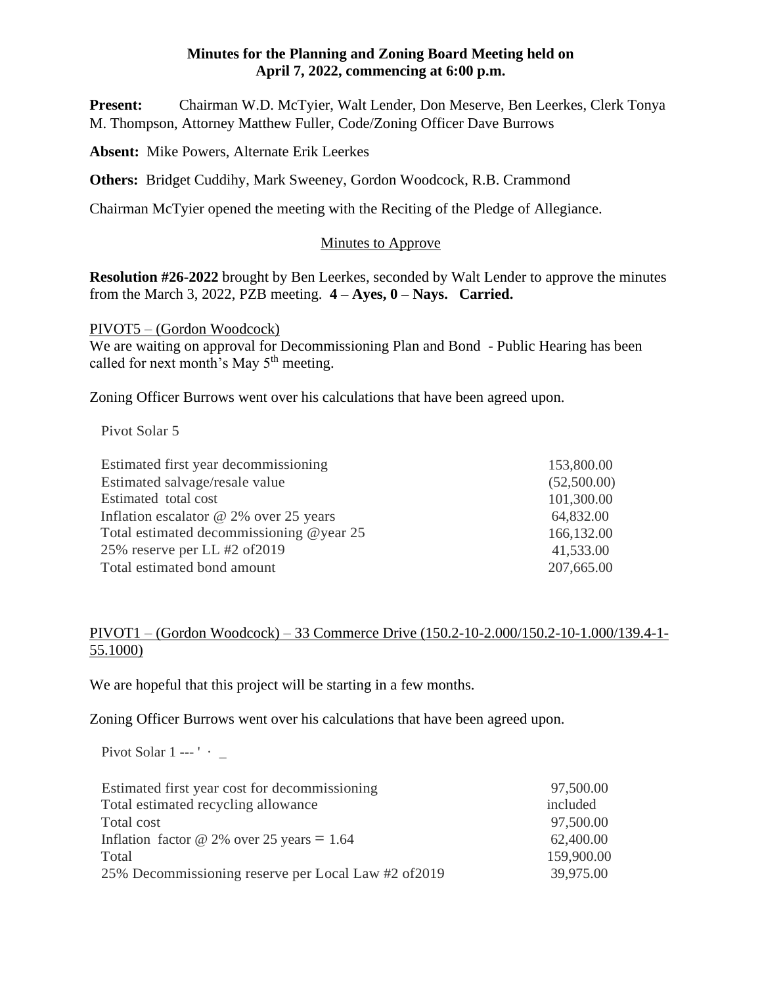**Present:** Chairman W.D. McTyier, Walt Lender, Don Meserve, Ben Leerkes, Clerk Tonya M. Thompson, Attorney Matthew Fuller, Code/Zoning Officer Dave Burrows

**Absent:** Mike Powers, Alternate Erik Leerkes

**Others:** Bridget Cuddihy, Mark Sweeney, Gordon Woodcock, R.B. Crammond

Chairman McTyier opened the meeting with the Reciting of the Pledge of Allegiance.

## Minutes to Approve

**Resolution #26-2022** brought by Ben Leerkes, seconded by Walt Lender to approve the minutes from the March 3, 2022, PZB meeting. **4 – Ayes, 0 – Nays. Carried.**

PIVOT5 – (Gordon Woodcock)

We are waiting on approval for Decommissioning Plan and Bond - Public Hearing has been called for next month's May  $5<sup>th</sup>$  meeting.

Zoning Officer Burrows went over his calculations that have been agreed upon.

Pivot Solar 5

| Estimated first year decommissioning<br>153,800.00     |  |
|--------------------------------------------------------|--|
| Estimated salvage/resale value<br>(52,500.00)          |  |
| 101,300.00<br>Estimated total cost                     |  |
| Inflation escalator $@$ 2% over 25 years<br>64,832.00  |  |
| Total estimated decommissioning @year 25<br>166,132.00 |  |
| 25% reserve per LL #2 of 2019<br>41,533.00             |  |
| Total estimated bond amount<br>207,665.00              |  |

# PIVOT1 – (Gordon Woodcock) – 33 Commerce Drive (150.2-10-2.000/150.2-10-1.000/139.4-1- 55.1000)

We are hopeful that this project will be starting in a few months.

Zoning Officer Burrows went over his calculations that have been agreed upon.

Pivot Solar 1 --- '  $\cdot$  \_

| Estimated first year cost for decommissioning        | 97,500.00  |
|------------------------------------------------------|------------|
| Total estimated recycling allowance                  | included   |
| Total cost                                           | 97,500.00  |
| Inflation factor @ 2% over 25 years = $1.64$         | 62,400.00  |
| Total                                                | 159,900.00 |
| 25% Decommissioning reserve per Local Law #2 of 2019 | 39,975.00  |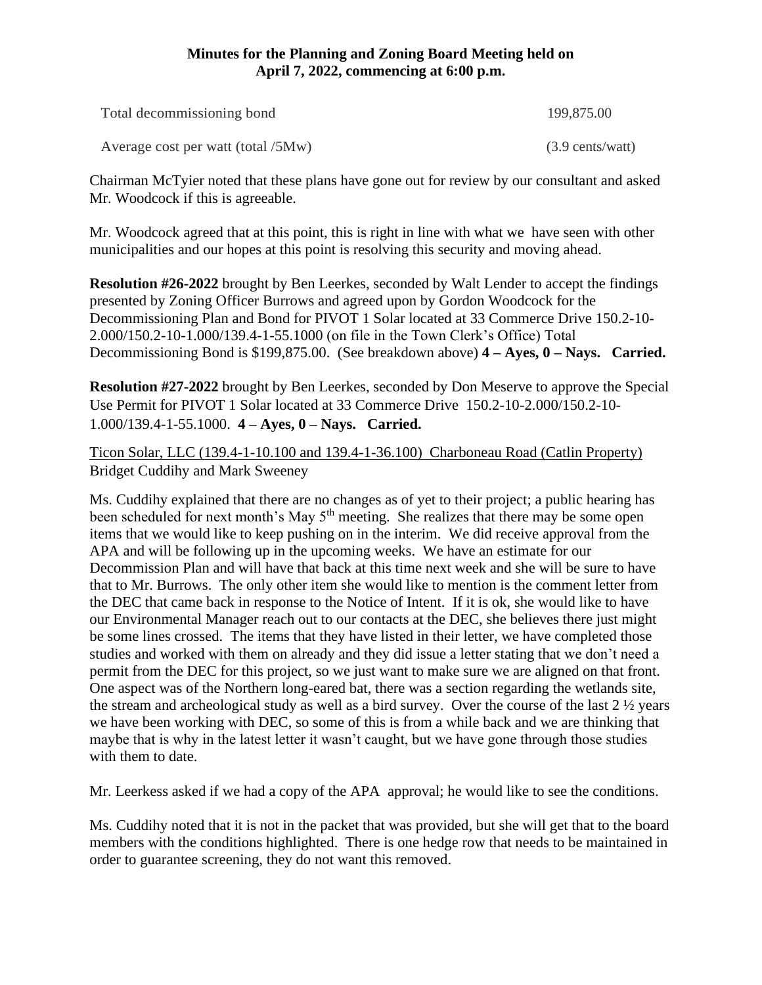| Total decommissioning bond         | 199,875.00                        |
|------------------------------------|-----------------------------------|
| Average cost per watt (total /5Mw) | $(3.9 \text{ cents}/\text{watt})$ |

Chairman McTyier noted that these plans have gone out for review by our consultant and asked Mr. Woodcock if this is agreeable.

Mr. Woodcock agreed that at this point, this is right in line with what we have seen with other municipalities and our hopes at this point is resolving this security and moving ahead.

**Resolution #26-2022** brought by Ben Leerkes, seconded by Walt Lender to accept the findings presented by Zoning Officer Burrows and agreed upon by Gordon Woodcock for the Decommissioning Plan and Bond for PIVOT 1 Solar located at 33 Commerce Drive 150.2-10- 2.000/150.2-10-1.000/139.4-1-55.1000 (on file in the Town Clerk's Office) Total Decommissioning Bond is \$199,875.00. (See breakdown above) **4 – Ayes, 0 – Nays. Carried.**

**Resolution #27-2022** brought by Ben Leerkes, seconded by Don Meserve to approve the Special Use Permit for PIVOT 1 Solar located at 33 Commerce Drive 150.2-10-2.000/150.2-10- 1.000/139.4-1-55.1000. **4 – Ayes, 0 – Nays. Carried.**

Ticon Solar, LLC (139.4-1-10.100 and 139.4-1-36.100) Charboneau Road (Catlin Property) Bridget Cuddihy and Mark Sweeney

Ms. Cuddihy explained that there are no changes as of yet to their project; a public hearing has been scheduled for next month's May  $5<sup>th</sup>$  meeting. She realizes that there may be some open items that we would like to keep pushing on in the interim. We did receive approval from the APA and will be following up in the upcoming weeks. We have an estimate for our Decommission Plan and will have that back at this time next week and she will be sure to have that to Mr. Burrows. The only other item she would like to mention is the comment letter from the DEC that came back in response to the Notice of Intent. If it is ok, she would like to have our Environmental Manager reach out to our contacts at the DEC, she believes there just might be some lines crossed. The items that they have listed in their letter, we have completed those studies and worked with them on already and they did issue a letter stating that we don't need a permit from the DEC for this project, so we just want to make sure we are aligned on that front. One aspect was of the Northern long-eared bat, there was a section regarding the wetlands site, the stream and archeological study as well as a bird survey. Over the course of the last 2 ½ years we have been working with DEC, so some of this is from a while back and we are thinking that maybe that is why in the latest letter it wasn't caught, but we have gone through those studies with them to date.

Mr. Leerkess asked if we had a copy of the APA approval; he would like to see the conditions.

Ms. Cuddihy noted that it is not in the packet that was provided, but she will get that to the board members with the conditions highlighted. There is one hedge row that needs to be maintained in order to guarantee screening, they do not want this removed.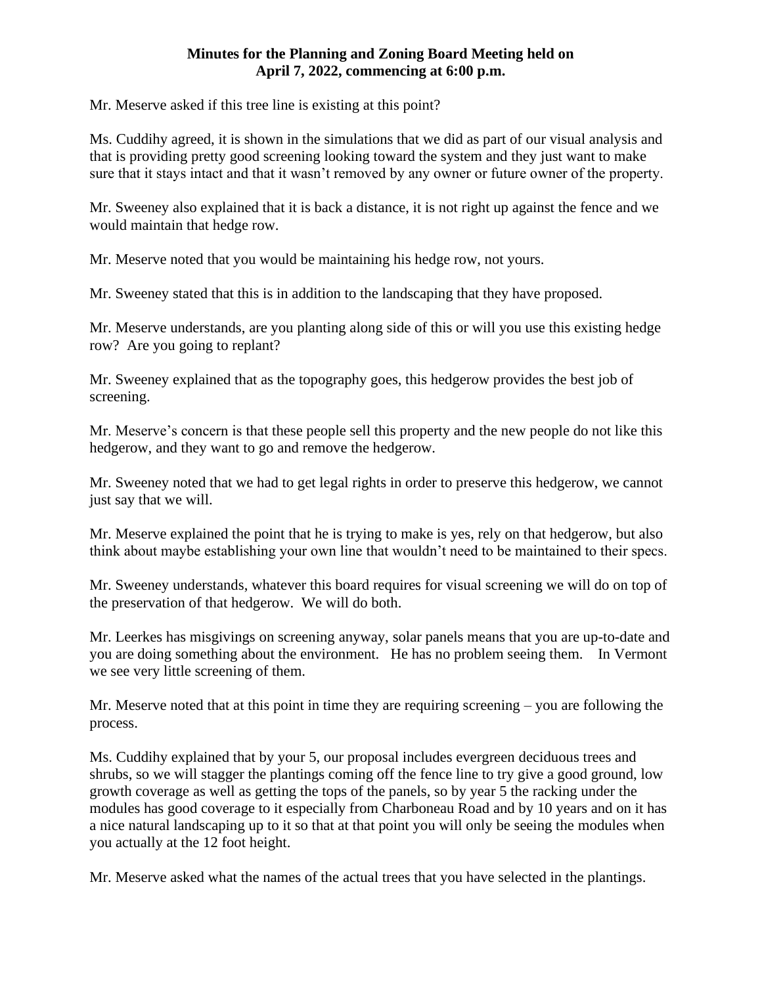Mr. Meserve asked if this tree line is existing at this point?

Ms. Cuddihy agreed, it is shown in the simulations that we did as part of our visual analysis and that is providing pretty good screening looking toward the system and they just want to make sure that it stays intact and that it wasn't removed by any owner or future owner of the property.

Mr. Sweeney also explained that it is back a distance, it is not right up against the fence and we would maintain that hedge row.

Mr. Meserve noted that you would be maintaining his hedge row, not yours.

Mr. Sweeney stated that this is in addition to the landscaping that they have proposed.

Mr. Meserve understands, are you planting along side of this or will you use this existing hedge row? Are you going to replant?

Mr. Sweeney explained that as the topography goes, this hedgerow provides the best job of screening.

Mr. Meserve's concern is that these people sell this property and the new people do not like this hedgerow, and they want to go and remove the hedgerow.

Mr. Sweeney noted that we had to get legal rights in order to preserve this hedgerow, we cannot just say that we will.

Mr. Meserve explained the point that he is trying to make is yes, rely on that hedgerow, but also think about maybe establishing your own line that wouldn't need to be maintained to their specs.

Mr. Sweeney understands, whatever this board requires for visual screening we will do on top of the preservation of that hedgerow. We will do both.

Mr. Leerkes has misgivings on screening anyway, solar panels means that you are up-to-date and you are doing something about the environment. He has no problem seeing them. In Vermont we see very little screening of them.

Mr. Meserve noted that at this point in time they are requiring screening – you are following the process.

Ms. Cuddihy explained that by your 5, our proposal includes evergreen deciduous trees and shrubs, so we will stagger the plantings coming off the fence line to try give a good ground, low growth coverage as well as getting the tops of the panels, so by year 5 the racking under the modules has good coverage to it especially from Charboneau Road and by 10 years and on it has a nice natural landscaping up to it so that at that point you will only be seeing the modules when you actually at the 12 foot height.

Mr. Meserve asked what the names of the actual trees that you have selected in the plantings.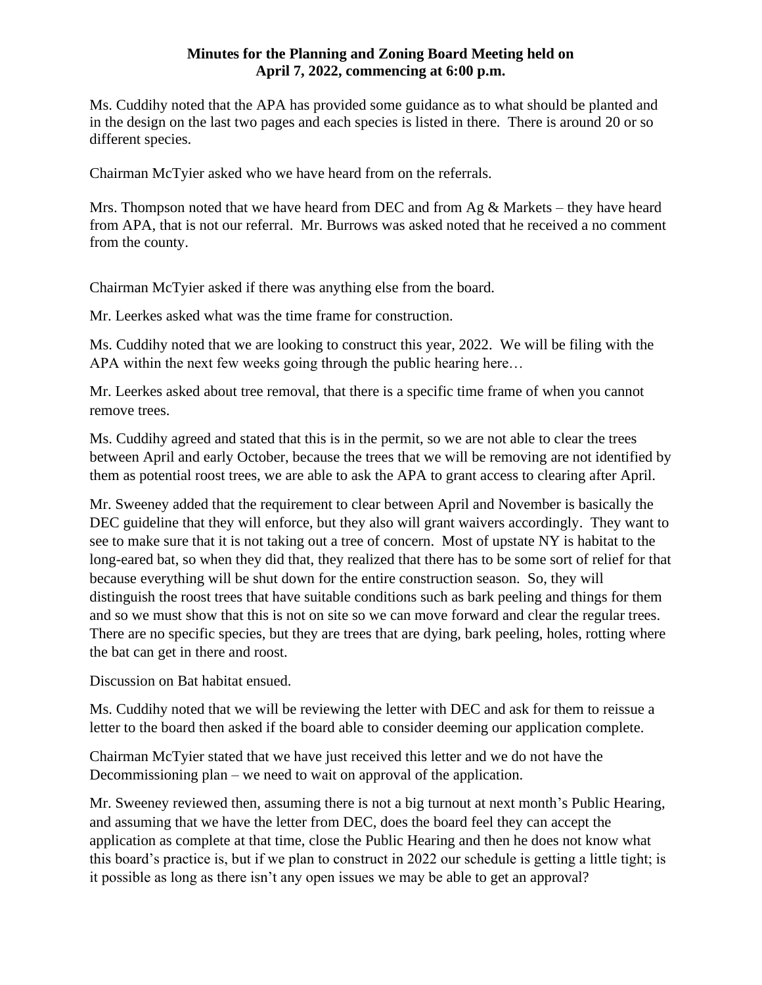Ms. Cuddihy noted that the APA has provided some guidance as to what should be planted and in the design on the last two pages and each species is listed in there. There is around 20 or so different species.

Chairman McTyier asked who we have heard from on the referrals.

Mrs. Thompson noted that we have heard from DEC and from  $Ag &$  Markets – they have heard from APA, that is not our referral. Mr. Burrows was asked noted that he received a no comment from the county.

Chairman McTyier asked if there was anything else from the board.

Mr. Leerkes asked what was the time frame for construction.

Ms. Cuddihy noted that we are looking to construct this year, 2022. We will be filing with the APA within the next few weeks going through the public hearing here…

Mr. Leerkes asked about tree removal, that there is a specific time frame of when you cannot remove trees.

Ms. Cuddihy agreed and stated that this is in the permit, so we are not able to clear the trees between April and early October, because the trees that we will be removing are not identified by them as potential roost trees, we are able to ask the APA to grant access to clearing after April.

Mr. Sweeney added that the requirement to clear between April and November is basically the DEC guideline that they will enforce, but they also will grant waivers accordingly. They want to see to make sure that it is not taking out a tree of concern. Most of upstate NY is habitat to the long-eared bat, so when they did that, they realized that there has to be some sort of relief for that because everything will be shut down for the entire construction season. So, they will distinguish the roost trees that have suitable conditions such as bark peeling and things for them and so we must show that this is not on site so we can move forward and clear the regular trees. There are no specific species, but they are trees that are dying, bark peeling, holes, rotting where the bat can get in there and roost.

Discussion on Bat habitat ensued.

Ms. Cuddihy noted that we will be reviewing the letter with DEC and ask for them to reissue a letter to the board then asked if the board able to consider deeming our application complete.

Chairman McTyier stated that we have just received this letter and we do not have the Decommissioning plan – we need to wait on approval of the application.

Mr. Sweeney reviewed then, assuming there is not a big turnout at next month's Public Hearing, and assuming that we have the letter from DEC, does the board feel they can accept the application as complete at that time, close the Public Hearing and then he does not know what this board's practice is, but if we plan to construct in 2022 our schedule is getting a little tight; is it possible as long as there isn't any open issues we may be able to get an approval?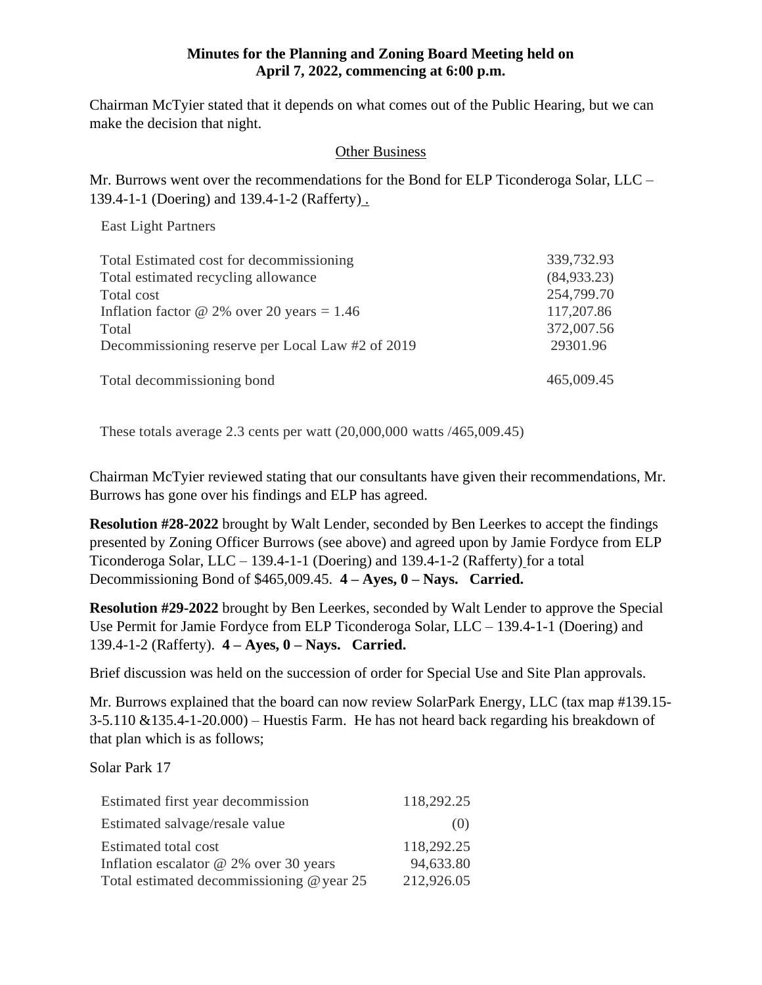Chairman McTyier stated that it depends on what comes out of the Public Hearing, but we can make the decision that night.

# Other Business

Mr. Burrows went over the recommendations for the Bond for ELP Ticonderoga Solar, LLC – 139.4-1-1 (Doering) and 139.4-1-2 (Rafferty) .

East Light Partners

| Total Estimated cost for decommissioning         | 339,732.93   |
|--------------------------------------------------|--------------|
| Total estimated recycling allowance              | (84, 933.23) |
| Total cost                                       | 254,799.70   |
| Inflation factor @ 2% over 20 years = $1.46$     | 117,207.86   |
| Total                                            | 372,007.56   |
| Decommissioning reserve per Local Law #2 of 2019 | 29301.96     |
| Total decommissioning bond                       | 465,009.45   |

These totals average 2.3 cents per watt (20,000,000 watts /465,009.45)

Chairman McTyier reviewed stating that our consultants have given their recommendations, Mr. Burrows has gone over his findings and ELP has agreed.

**Resolution #28-2022** brought by Walt Lender, seconded by Ben Leerkes to accept the findings presented by Zoning Officer Burrows (see above) and agreed upon by Jamie Fordyce from ELP Ticonderoga Solar, LLC – 139.4-1-1 (Doering) and 139.4-1-2 (Rafferty) for a total Decommissioning Bond of \$465,009.45. **4 – Ayes, 0 – Nays. Carried.** 

**Resolution #29-2022** brought by Ben Leerkes, seconded by Walt Lender to approve the Special Use Permit for Jamie Fordyce from ELP Ticonderoga Solar, LLC – 139.4-1-1 (Doering) and 139.4-1-2 (Rafferty). **4 – Ayes, 0 – Nays. Carried.**

Brief discussion was held on the succession of order for Special Use and Site Plan approvals.

Mr. Burrows explained that the board can now review SolarPark Energy, LLC (tax map #139.15-  $3-5.110 \& 135.4-1-20.000$  – Huestis Farm. He has not heard back regarding his breakdown of that plan which is as follows;

Solar Park 17

| Estimated first year decommission         | 118,292.25 |
|-------------------------------------------|------------|
| Estimated salvage/resale value            | (0)        |
| Estimated total cost                      | 118,292.25 |
| Inflation escalator $@$ 2% over 30 years  | 94,633.80  |
| Total estimated decommissioning @ year 25 | 212,926.05 |